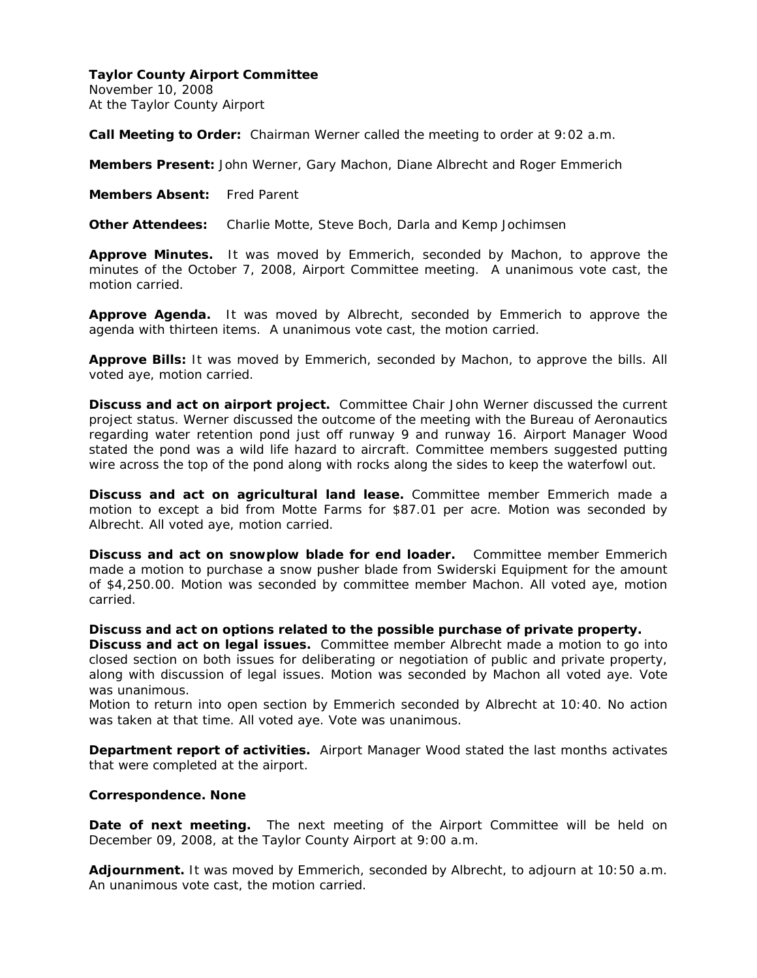November 10, 2008 At the Taylor County Airport

**Call Meeting to Order:** Chairman Werner called the meeting to order at 9:02 a.m.

**Members Present:** John Werner, Gary Machon, Diane Albrecht and Roger Emmerich

**Members Absent:** Fred Parent

**Other Attendees:** Charlie Motte, Steve Boch, Darla and Kemp Jochimsen

**Approve Minutes.** It was moved by Emmerich, seconded by Machon, to approve the minutes of the October 7, 2008, Airport Committee meeting. A unanimous vote cast, the motion carried.

**Approve Agenda.** It was moved by Albrecht, seconded by Emmerich to approve the agenda with thirteen items. A unanimous vote cast, the motion carried.

**Approve Bills:** It was moved by Emmerich, seconded by Machon, to approve the bills. All voted aye, motion carried.

**Discuss and act on airport project.** Committee Chair John Werner discussed the current project status. Werner discussed the outcome of the meeting with the Bureau of Aeronautics regarding water retention pond just off runway 9 and runway 16. Airport Manager Wood stated the pond was a wild life hazard to aircraft. Committee members suggested putting wire across the top of the pond along with rocks along the sides to keep the waterfowl out.

**Discuss and act on agricultural land lease.** Committee member Emmerich made a motion to except a bid from Motte Farms for \$87.01 per acre. Motion was seconded by Albrecht. All voted aye, motion carried.

**Discuss and act on snowplow blade for end loader.** Committee member Emmerich made a motion to purchase a snow pusher blade from Swiderski Equipment for the amount of \$4,250.00. Motion was seconded by committee member Machon. All voted aye, motion carried.

**Discuss and act on options related to the possible purchase of private property.** 

**Discuss and act on legal issues.** Committee member Albrecht made a motion to go into closed section on both issues for deliberating or negotiation of public and private property, along with discussion of legal issues. Motion was seconded by Machon all voted aye. Vote was unanimous.

Motion to return into open section by Emmerich seconded by Albrecht at 10:40. No action was taken at that time. All voted aye. Vote was unanimous.

**Department report of activities.** Airport Manager Wood stated the last months activates that were completed at the airport.

#### **Correspondence. None**

**Date of next meeting.** The next meeting of the Airport Committee will be held on December 09, 2008, at the Taylor County Airport at 9:00 a.m.

**Adjournment.** It was moved by Emmerich, seconded by Albrecht, to adjourn at 10:50 a.m. An unanimous vote cast, the motion carried.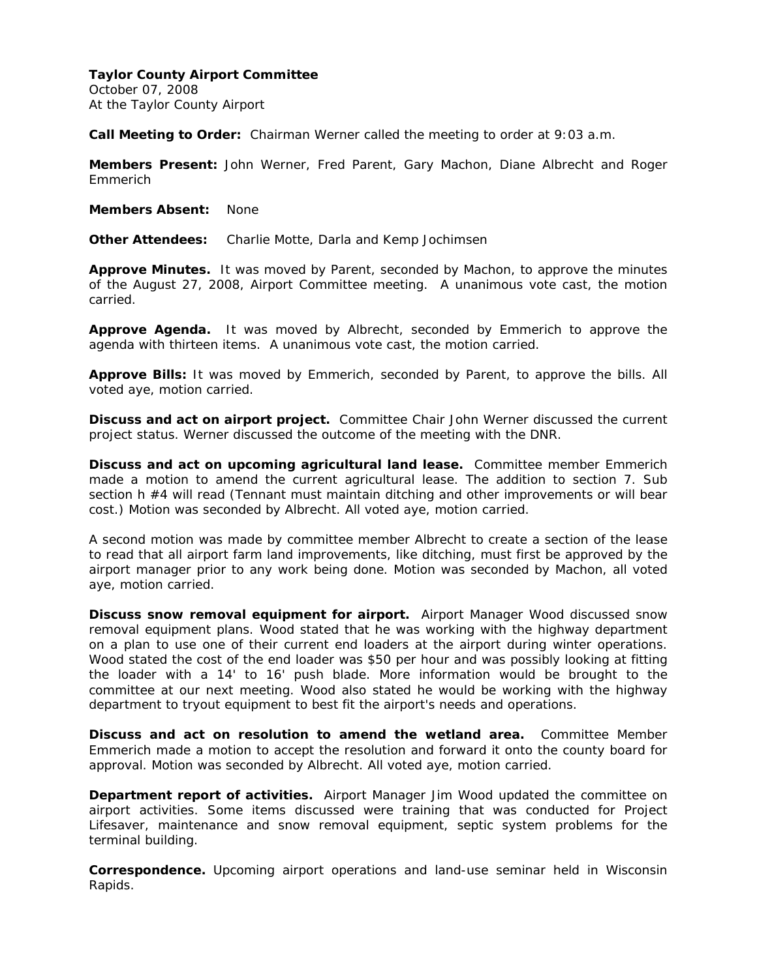October 07, 2008 At the Taylor County Airport

**Call Meeting to Order:** Chairman Werner called the meeting to order at 9:03 a.m.

**Members Present:** John Werner, Fred Parent, Gary Machon, Diane Albrecht and Roger Emmerich

**Members Absent:** None

**Other Attendees:** Charlie Motte, Darla and Kemp Jochimsen

**Approve Minutes.** It was moved by Parent, seconded by Machon, to approve the minutes of the August 27, 2008, Airport Committee meeting. A unanimous vote cast, the motion carried.

**Approve Agenda.** It was moved by Albrecht, seconded by Emmerich to approve the agenda with thirteen items. A unanimous vote cast, the motion carried.

**Approve Bills:** It was moved by Emmerich, seconded by Parent, to approve the bills. All voted aye, motion carried.

**Discuss and act on airport project.** Committee Chair John Werner discussed the current project status. Werner discussed the outcome of the meeting with the DNR.

**Discuss and act on upcoming agricultural land lease.** Committee member Emmerich made a motion to amend the current agricultural lease. The addition to section 7. Sub section h #4 will read (Tennant must maintain ditching and other improvements or will bear cost.) Motion was seconded by Albrecht. All voted aye, motion carried.

A second motion was made by committee member Albrecht to create a section of the lease to read that all airport farm land improvements, like ditching, must first be approved by the airport manager prior to any work being done. Motion was seconded by Machon, all voted aye, motion carried.

**Discuss snow removal equipment for airport.** Airport Manager Wood discussed snow removal equipment plans. Wood stated that he was working with the highway department on a plan to use one of their current end loaders at the airport during winter operations. Wood stated the cost of the end loader was \$50 per hour and was possibly looking at fitting the loader with a 14' to 16' push blade. More information would be brought to the committee at our next meeting. Wood also stated he would be working with the highway department to tryout equipment to best fit the airport's needs and operations.

**Discuss and act on resolution to amend the wetland area.** Committee Member Emmerich made a motion to accept the resolution and forward it onto the county board for approval. Motion was seconded by Albrecht. All voted aye, motion carried.

**Department report of activities.** Airport Manager Jim Wood updated the committee on airport activities. Some items discussed were training that was conducted for Project Lifesaver, maintenance and snow removal equipment, septic system problems for the terminal building.

**Correspondence.** Upcoming airport operations and land-use seminar held in Wisconsin Rapids.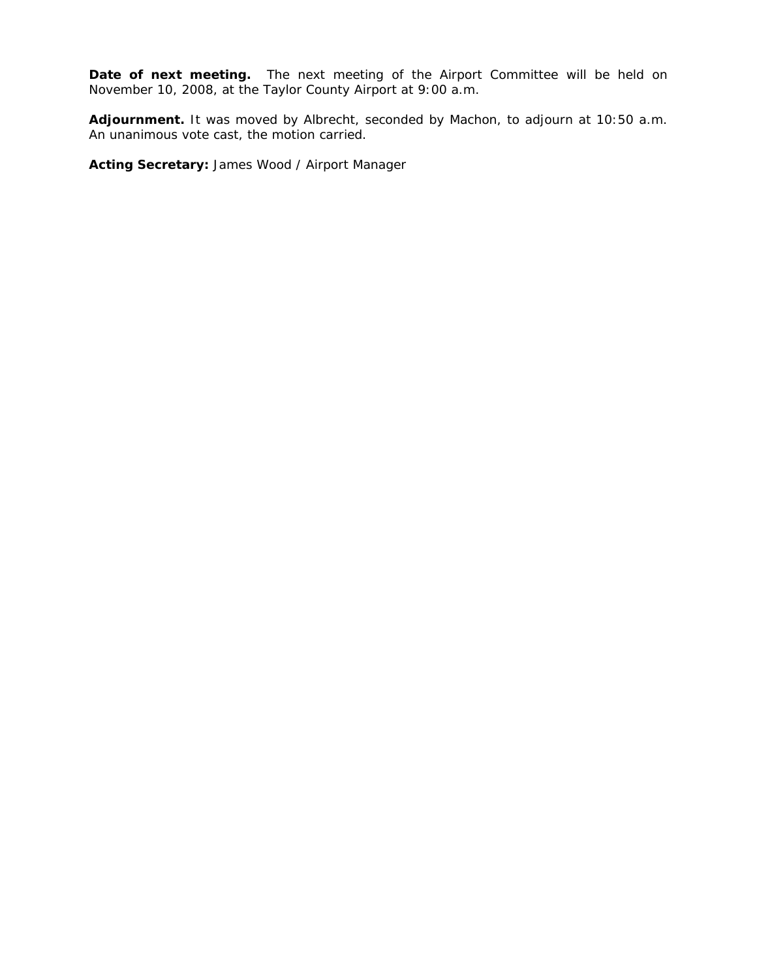Date of next meeting. The next meeting of the Airport Committee will be held on November 10, 2008, at the Taylor County Airport at 9:00 a.m.

**Adjournment.** It was moved by Albrecht, seconded by Machon, to adjourn at 10:50 a.m. An unanimous vote cast, the motion carried.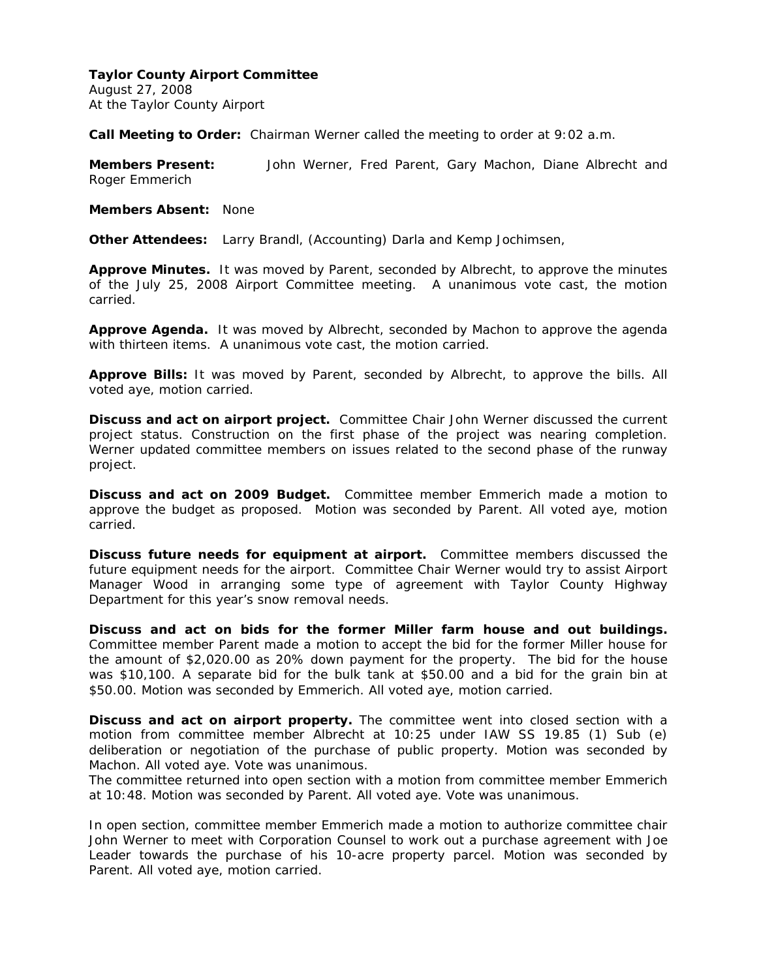August 27, 2008 At the Taylor County Airport

**Call Meeting to Order:** Chairman Werner called the meeting to order at 9:02 a.m.

**Members Present:** John Werner, Fred Parent, Gary Machon, Diane Albrecht and Roger Emmerich

**Members Absent:** None

**Other Attendees:** Larry Brandl, (Accounting) Darla and Kemp Jochimsen,

**Approve Minutes.** It was moved by Parent, seconded by Albrecht, to approve the minutes of the July 25, 2008 Airport Committee meeting. A unanimous vote cast, the motion carried.

**Approve Agenda.** It was moved by Albrecht, seconded by Machon to approve the agenda with thirteen items. A unanimous vote cast, the motion carried.

**Approve Bills:** It was moved by Parent, seconded by Albrecht, to approve the bills. All voted aye, motion carried.

**Discuss and act on airport project.** Committee Chair John Werner discussed the current project status. Construction on the first phase of the project was nearing completion. Werner updated committee members on issues related to the second phase of the runway project.

**Discuss and act on 2009 Budget.** Committee member Emmerich made a motion to approve the budget as proposed. Motion was seconded by Parent. All voted aye, motion carried.

**Discuss future needs for equipment at airport.** Committee members discussed the future equipment needs for the airport. Committee Chair Werner would try to assist Airport Manager Wood in arranging some type of agreement with Taylor County Highway Department for this year's snow removal needs.

**Discuss and act on bids for the former Miller farm house and out buildings.**  Committee member Parent made a motion to accept the bid for the former Miller house for the amount of \$2,020.00 as 20% down payment for the property. The bid for the house was \$10,100. A separate bid for the bulk tank at \$50.00 and a bid for the grain bin at \$50.00. Motion was seconded by Emmerich. All voted aye, motion carried.

**Discuss and act on airport property.** The committee went into closed section with a motion from committee member Albrecht at 10:25 under IAW SS 19.85 (1) Sub (e) deliberation or negotiation of the purchase of public property. Motion was seconded by Machon. All voted aye. Vote was unanimous.

The committee returned into open section with a motion from committee member Emmerich at 10:48. Motion was seconded by Parent. All voted aye. Vote was unanimous.

In open section, committee member Emmerich made a motion to authorize committee chair John Werner to meet with Corporation Counsel to work out a purchase agreement with Joe Leader towards the purchase of his 10-acre property parcel. Motion was seconded by Parent. All voted aye, motion carried.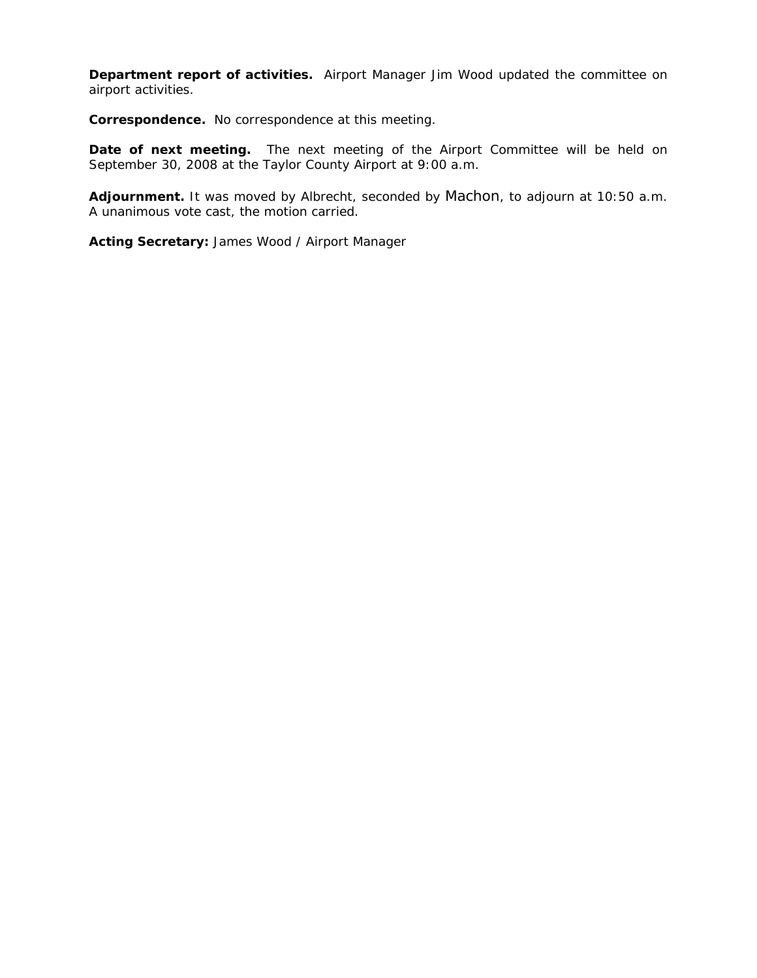**Department report of activities.** Airport Manager Jim Wood updated the committee on airport activities.

**Correspondence.** No correspondence at this meeting.

**Date of next meeting.** The next meeting of the Airport Committee will be held on September 30, 2008 at the Taylor County Airport at 9:00 a.m.

**Adjournment.** It was moved by Albrecht, seconded by Machon, to adjourn at 10:50 a.m. A unanimous vote cast, the motion carried.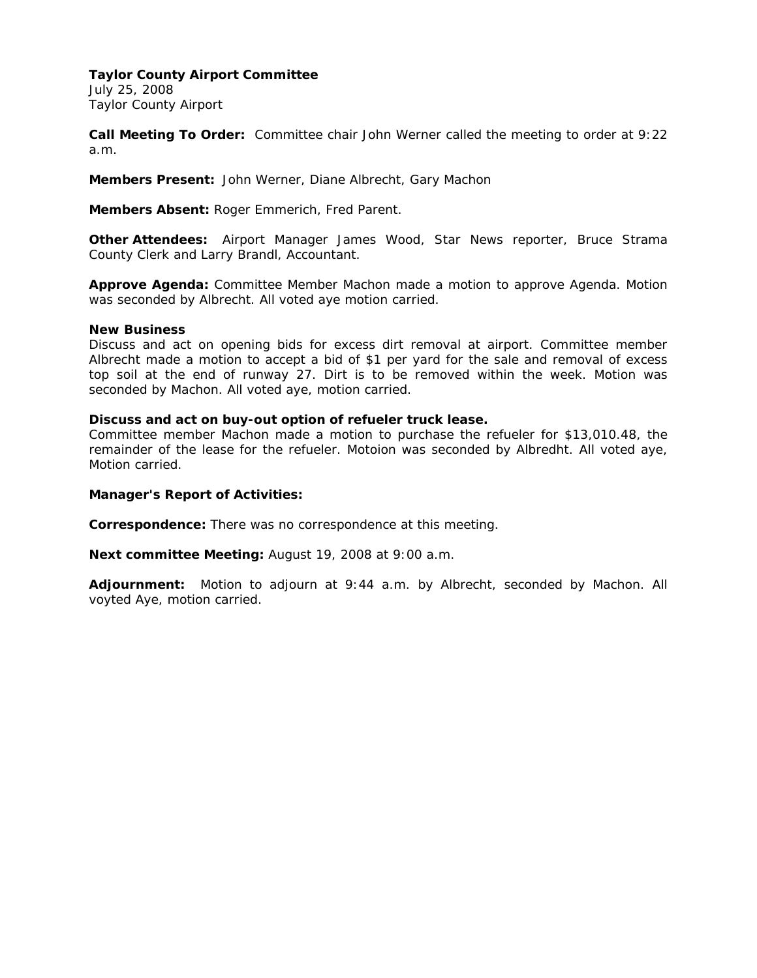July 25, 2008 Taylor County Airport

**Call Meeting To Order:** Committee chair John Werner called the meeting to order at 9:22 a.m.

**Members Present:** John Werner, Diane Albrecht, Gary Machon

**Members Absent:** Roger Emmerich, Fred Parent.

**Other Attendees:** Airport Manager James Wood, Star News reporter, Bruce Strama County Clerk and Larry Brandl, Accountant.

**Approve Agenda:** Committee Member Machon made a motion to approve Agenda. Motion was seconded by Albrecht. All voted aye motion carried.

#### **New Business**

Discuss and act on opening bids for excess dirt removal at airport. Committee member Albrecht made a motion to accept a bid of \$1 per yard for the sale and removal of excess top soil at the end of runway 27. Dirt is to be removed within the week. Motion was seconded by Machon. All voted aye, motion carried.

#### **Discuss and act on buy-out option of refueler truck lease.**

Committee member Machon made a motion to purchase the refueler for \$13,010.48, the remainder of the lease for the refueler. Motoion was seconded by Albredht. All voted aye, Motion carried.

#### **Manager's Report of Activities:**

**Correspondence:** There was no correspondence at this meeting.

**Next committee Meeting:** August 19, 2008 at 9:00 a.m.

**Adjournment:** Motion to adjourn at 9:44 a.m. by Albrecht, seconded by Machon. All voyted Aye, motion carried.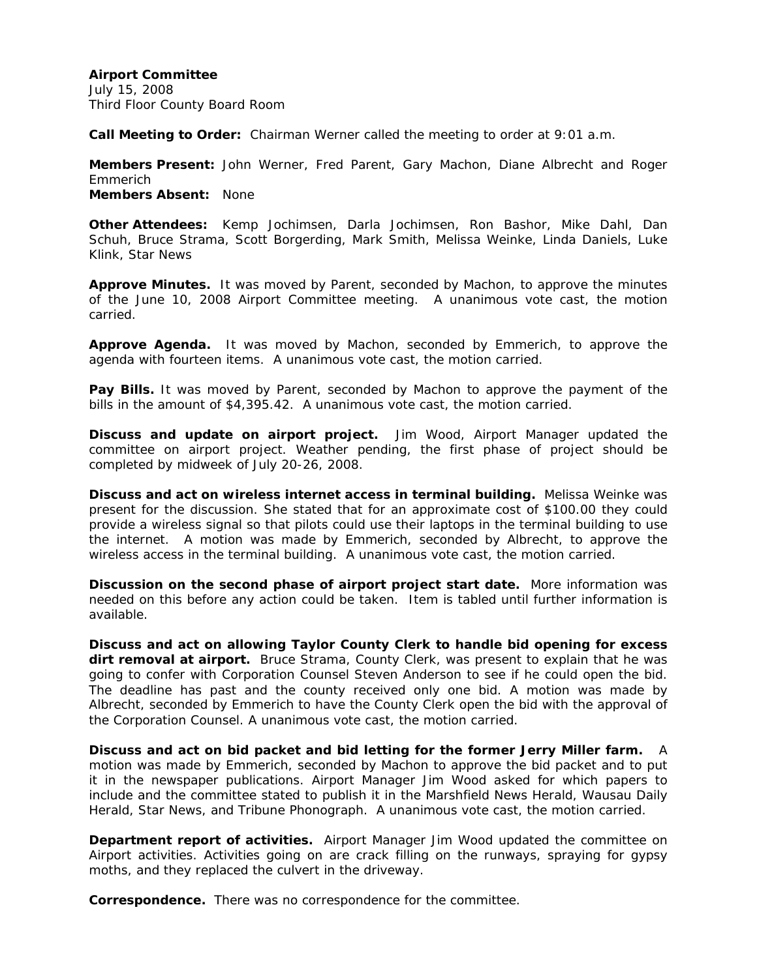July 15, 2008 Third Floor County Board Room

**Call Meeting to Order:** Chairman Werner called the meeting to order at 9:01 a.m.

**Members Present:** John Werner, Fred Parent, Gary Machon, Diane Albrecht and Roger Emmerich **Members Absent:** None

**Other Attendees:** Kemp Jochimsen, Darla Jochimsen, Ron Bashor, Mike Dahl, Dan Schuh, Bruce Strama, Scott Borgerding, Mark Smith, Melissa Weinke, Linda Daniels, Luke Klink, Star News

**Approve Minutes.** It was moved by Parent, seconded by Machon, to approve the minutes of the June 10, 2008 Airport Committee meeting. A unanimous vote cast, the motion carried.

**Approve Agenda.** It was moved by Machon, seconded by Emmerich, to approve the agenda with fourteen items. A unanimous vote cast, the motion carried.

**Pay Bills.** It was moved by Parent, seconded by Machon to approve the payment of the bills in the amount of \$4,395.42. A unanimous vote cast, the motion carried.

**Discuss and update on airport project.** Jim Wood, Airport Manager updated the committee on airport project. Weather pending, the first phase of project should be completed by midweek of July 20-26, 2008.

**Discuss and act on wireless internet access in terminal building.** Melissa Weinke was present for the discussion. She stated that for an approximate cost of \$100.00 they could provide a wireless signal so that pilots could use their laptops in the terminal building to use the internet. A motion was made by Emmerich, seconded by Albrecht, to approve the wireless access in the terminal building. A unanimous vote cast, the motion carried.

**Discussion on the second phase of airport project start date.** More information was needed on this before any action could be taken. Item is tabled until further information is available.

**Discuss and act on allowing Taylor County Clerk to handle bid opening for excess dirt removal at airport.** Bruce Strama, County Clerk, was present to explain that he was going to confer with Corporation Counsel Steven Anderson to see if he could open the bid. The deadline has past and the county received only one bid. A motion was made by Albrecht, seconded by Emmerich to have the County Clerk open the bid with the approval of the Corporation Counsel. A unanimous vote cast, the motion carried.

**Discuss and act on bid packet and bid letting for the former Jerry Miller farm.** A motion was made by Emmerich, seconded by Machon to approve the bid packet and to put it in the newspaper publications. Airport Manager Jim Wood asked for which papers to include and the committee stated to publish it in the Marshfield News Herald, Wausau Daily Herald, Star News, and Tribune Phonograph. A unanimous vote cast, the motion carried.

**Department report of activities.** Airport Manager Jim Wood updated the committee on Airport activities. Activities going on are crack filling on the runways, spraying for gypsy moths, and they replaced the culvert in the driveway.

**Correspondence.** There was no correspondence for the committee.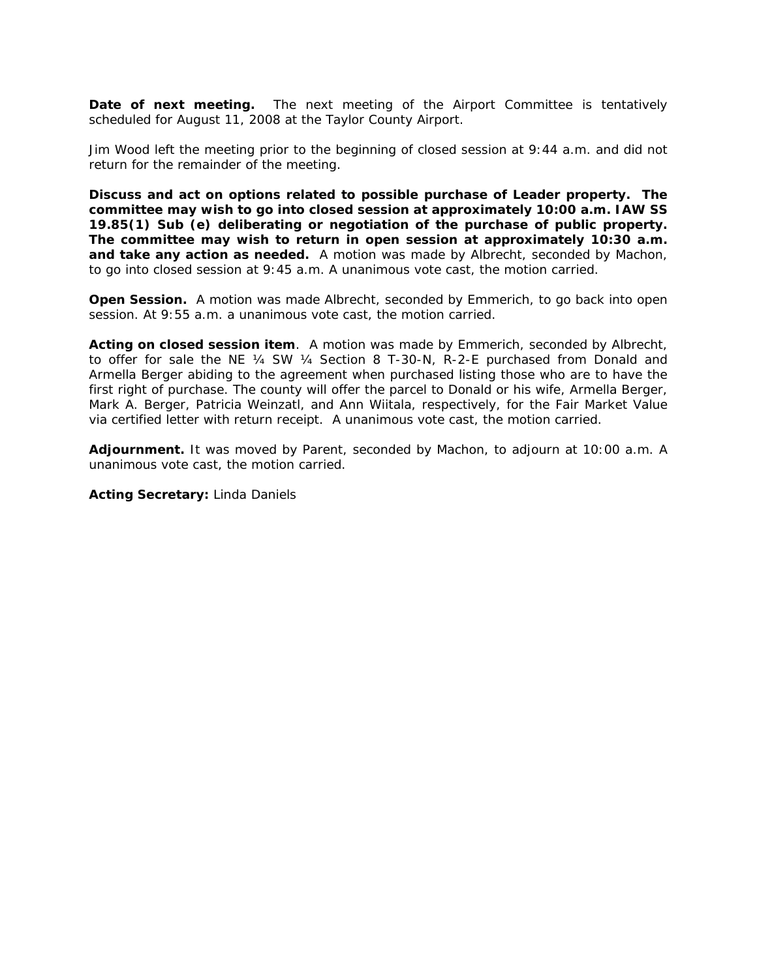**Date of next meeting.** The next meeting of the Airport Committee is tentatively scheduled for August 11, 2008 at the Taylor County Airport.

Jim Wood left the meeting prior to the beginning of closed session at 9:44 a.m. and did not return for the remainder of the meeting.

**Discuss and act on options related to possible purchase of Leader property. The committee may wish to go into closed session at approximately 10:00 a.m. IAW SS 19.85(1) Sub (e) deliberating or negotiation of the purchase of public property. The committee may wish to return in open session at approximately 10:30 a.m. and take any action as needed.** A motion was made by Albrecht, seconded by Machon, to go into closed session at 9:45 a.m. A unanimous vote cast, the motion carried.

**Open Session.** A motion was made Albrecht, seconded by Emmerich, to go back into open session. At 9:55 a.m. a unanimous vote cast, the motion carried.

**Acting on closed session item**. A motion was made by Emmerich, seconded by Albrecht, to offer for sale the NE ¼ SW ¼ Section 8 T-30-N, R-2-E purchased from Donald and Armella Berger abiding to the agreement when purchased listing those who are to have the first right of purchase. The county will offer the parcel to Donald or his wife, Armella Berger, Mark A. Berger, Patricia Weinzatl, and Ann Wiitala, respectively, for the Fair Market Value via certified letter with return receipt. A unanimous vote cast, the motion carried.

**Adjournment.** It was moved by Parent, seconded by Machon, to adjourn at 10:00 a.m. A unanimous vote cast, the motion carried.

#### **Acting Secretary:** Linda Daniels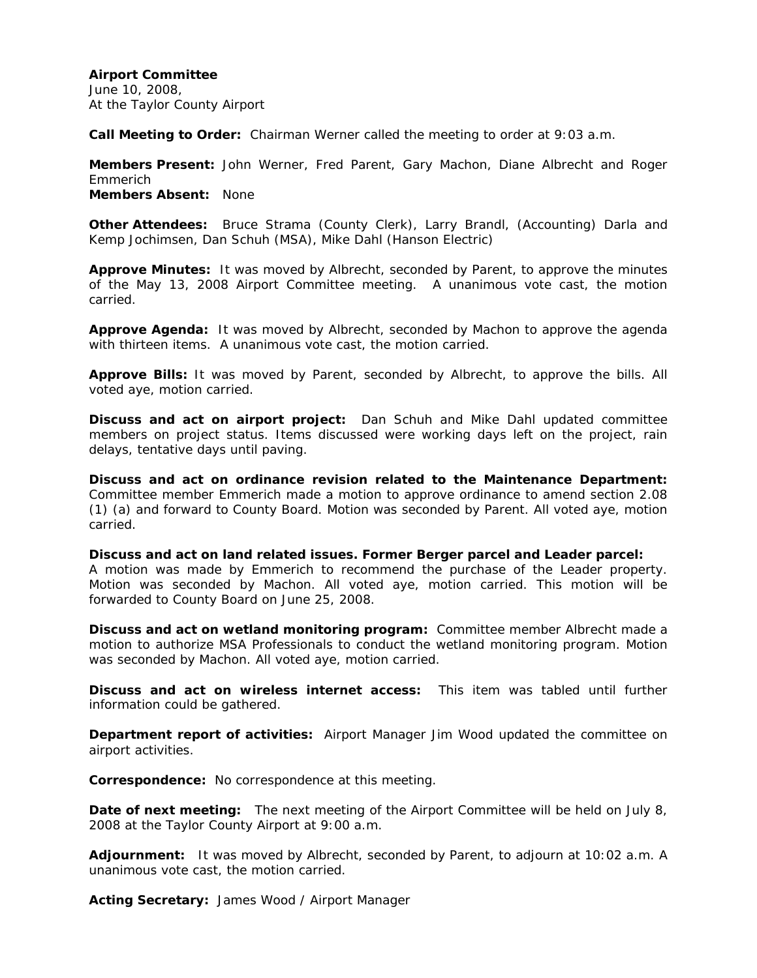June 10, 2008, At the Taylor County Airport

**Call Meeting to Order:** Chairman Werner called the meeting to order at 9:03 a.m.

**Members Present:** John Werner, Fred Parent, Gary Machon, Diane Albrecht and Roger Emmerich **Members Absent:** None

**Other Attendees:** Bruce Strama (County Clerk), Larry Brandl, (Accounting) Darla and Kemp Jochimsen, Dan Schuh (MSA), Mike Dahl (Hanson Electric)

**Approve Minutes:** It was moved by Albrecht, seconded by Parent, to approve the minutes of the May 13, 2008 Airport Committee meeting. A unanimous vote cast, the motion carried.

**Approve Agenda:** It was moved by Albrecht, seconded by Machon to approve the agenda with thirteen items. A unanimous vote cast, the motion carried.

**Approve Bills:** It was moved by Parent, seconded by Albrecht, to approve the bills. All voted aye, motion carried.

**Discuss and act on airport project:** Dan Schuh and Mike Dahl updated committee members on project status. Items discussed were working days left on the project, rain delays, tentative days until paving.

**Discuss and act on ordinance revision related to the Maintenance Department:**  Committee member Emmerich made a motion to approve ordinance to amend section 2.08 (1) (a) and forward to County Board. Motion was seconded by Parent. All voted aye, motion carried.

**Discuss and act on land related issues. Former Berger parcel and Leader parcel:**  A motion was made by Emmerich to recommend the purchase of the Leader property. Motion was seconded by Machon. All voted aye, motion carried. This motion will be forwarded to County Board on June 25, 2008.

**Discuss and act on wetland monitoring program:** Committee member Albrecht made a motion to authorize MSA Professionals to conduct the wetland monitoring program. Motion was seconded by Machon. All voted aye, motion carried.

**Discuss and act on wireless internet access:** This item was tabled until further information could be gathered.

**Department report of activities:** Airport Manager Jim Wood updated the committee on airport activities.

**Correspondence:** No correspondence at this meeting.

**Date of next meeting:** The next meeting of the Airport Committee will be held on July 8, 2008 at the Taylor County Airport at 9:00 a.m.

**Adjournment:** It was moved by Albrecht, seconded by Parent, to adjourn at 10:02 a.m. A unanimous vote cast, the motion carried.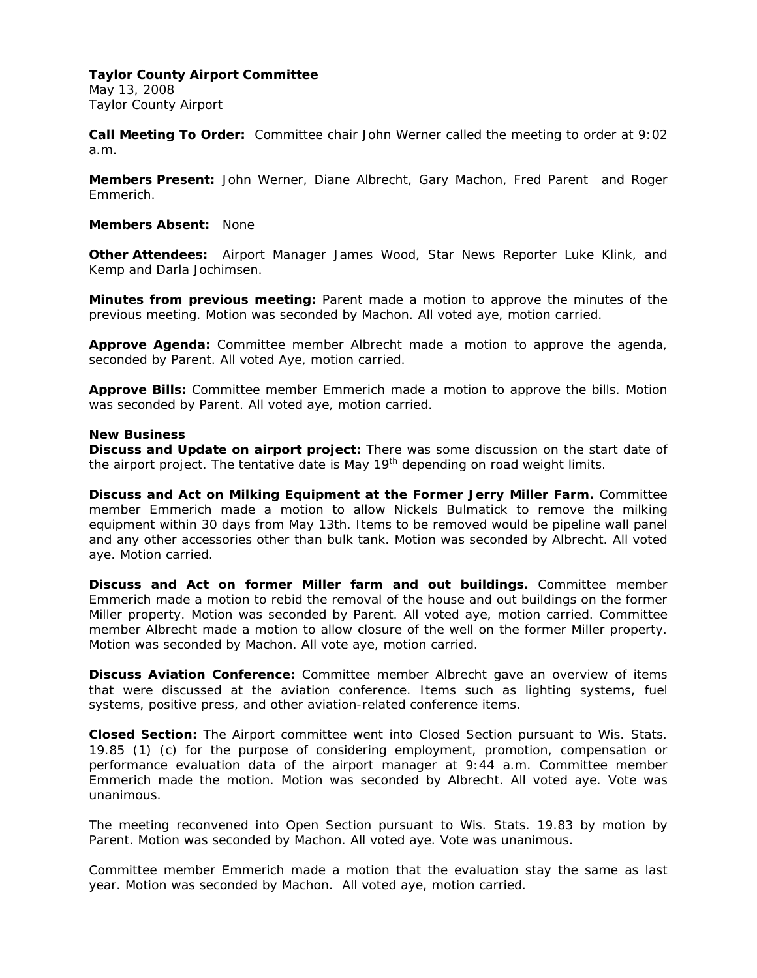May 13, 2008 Taylor County Airport

**Call Meeting To Order:** Committee chair John Werner called the meeting to order at 9:02 a.m.

**Members Present:** John Werner, Diane Albrecht, Gary Machon, Fred Parent and Roger Emmerich.

### **Members Absent:** None

**Other Attendees:** Airport Manager James Wood, Star News Reporter Luke Klink, and Kemp and Darla Jochimsen.

**Minutes from previous meeting:** Parent made a motion to approve the minutes of the previous meeting. Motion was seconded by Machon. All voted aye, motion carried.

**Approve Agenda:** Committee member Albrecht made a motion to approve the agenda, seconded by Parent. All voted Aye, motion carried.

**Approve Bills:** Committee member Emmerich made a motion to approve the bills. Motion was seconded by Parent. All voted aye, motion carried.

## **New Business**

**Discuss and Update on airport project:** There was some discussion on the start date of the airport project. The tentative date is May  $19<sup>th</sup>$  depending on road weight limits.

**Discuss and Act on Milking Equipment at the Former Jerry Miller Farm.** Committee member Emmerich made a motion to allow Nickels Bulmatick to remove the milking equipment within 30 days from May 13th. Items to be removed would be pipeline wall panel and any other accessories other than bulk tank. Motion was seconded by Albrecht. All voted aye. Motion carried.

**Discuss and Act on former Miller farm and out buildings.** Committee member Emmerich made a motion to rebid the removal of the house and out buildings on the former Miller property. Motion was seconded by Parent. All voted aye, motion carried. Committee member Albrecht made a motion to allow closure of the well on the former Miller property. Motion was seconded by Machon. All vote aye, motion carried.

**Discuss Aviation Conference:** Committee member Albrecht gave an overview of items that were discussed at the aviation conference. Items such as lighting systems, fuel systems, positive press, and other aviation-related conference items.

**Closed Section:** The Airport committee went into Closed Section pursuant to Wis. Stats. 19.85 (1) (c) for the purpose of considering employment, promotion, compensation or performance evaluation data of the airport manager at 9:44 a.m. Committee member Emmerich made the motion. Motion was seconded by Albrecht. All voted aye. Vote was unanimous.

The meeting reconvened into Open Section pursuant to Wis. Stats. 19.83 by motion by Parent. Motion was seconded by Machon. All voted aye. Vote was unanimous.

Committee member Emmerich made a motion that the evaluation stay the same as last year. Motion was seconded by Machon. All voted aye, motion carried.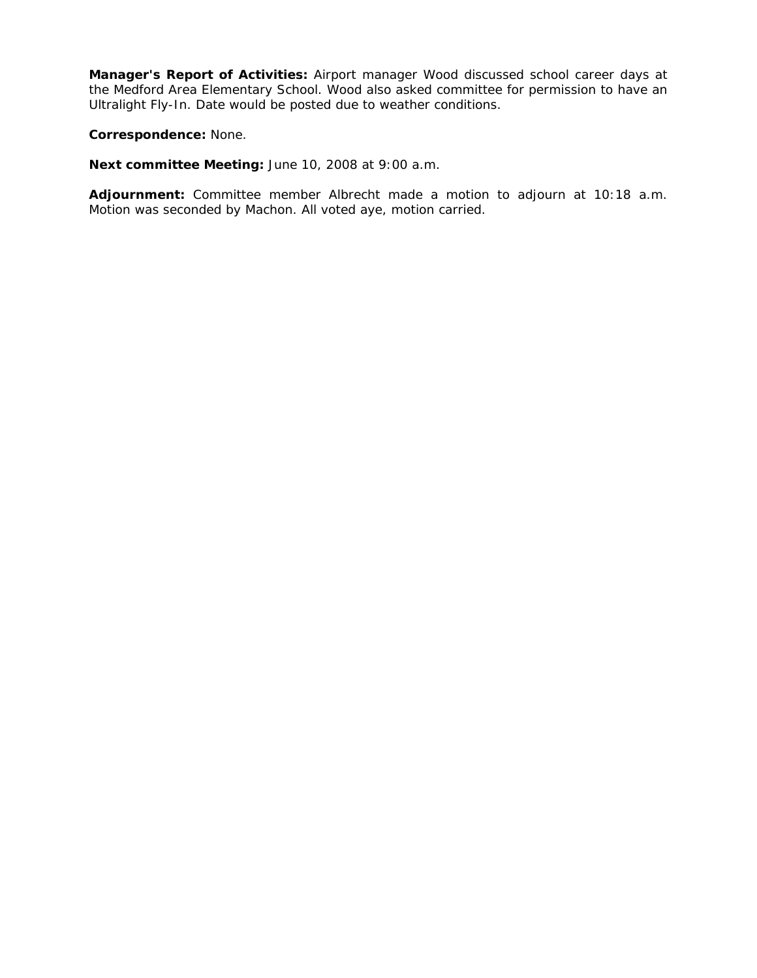**Manager's Report of Activities:** Airport manager Wood discussed school career days at the Medford Area Elementary School. Wood also asked committee for permission to have an Ultralight Fly-In. Date would be posted due to weather conditions.

**Correspondence:** None.

**Next committee Meeting:** June 10, 2008 at 9:00 a.m.

**Adjournment:** Committee member Albrecht made a motion to adjourn at 10:18 a.m. Motion was seconded by Machon. All voted aye, motion carried.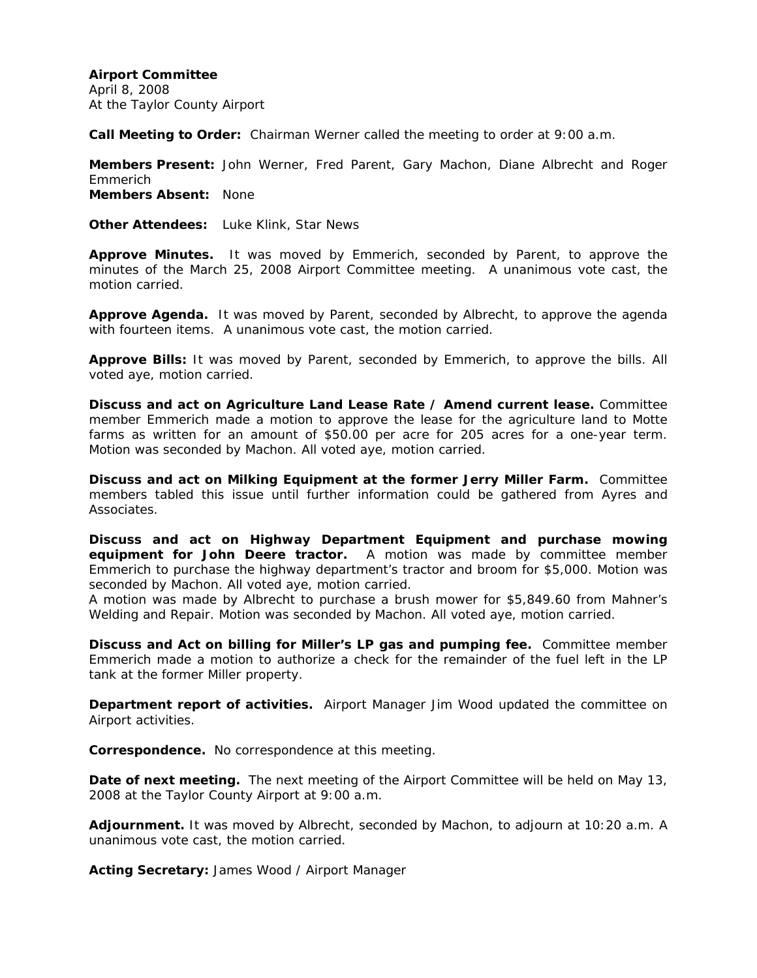**Airport Committee**  April 8, 2008 At the Taylor County Airport

**Call Meeting to Order:** Chairman Werner called the meeting to order at 9:00 a.m.

**Members Present:** John Werner, Fred Parent, Gary Machon, Diane Albrecht and Roger Emmerich **Members Absent:** None

**Other Attendees:** Luke Klink, Star News

**Approve Minutes.** It was moved by Emmerich, seconded by Parent, to approve the minutes of the March 25, 2008 Airport Committee meeting. A unanimous vote cast, the motion carried.

**Approve Agenda.** It was moved by Parent, seconded by Albrecht, to approve the agenda with fourteen items. A unanimous vote cast, the motion carried.

**Approve Bills:** It was moved by Parent, seconded by Emmerich, to approve the bills. All voted aye, motion carried.

**Discuss and act on Agriculture Land Lease Rate / Amend current lease.** Committee member Emmerich made a motion to approve the lease for the agriculture land to Motte farms as written for an amount of \$50.00 per acre for 205 acres for a one-year term. Motion was seconded by Machon. All voted aye, motion carried.

**Discuss and act on Milking Equipment at the former Jerry Miller Farm.** Committee members tabled this issue until further information could be gathered from Ayres and Associates.

**Discuss and act on Highway Department Equipment and purchase mowing equipment for John Deere tractor.** A motion was made by committee member Emmerich to purchase the highway department's tractor and broom for \$5,000. Motion was seconded by Machon. All voted aye, motion carried.

A motion was made by Albrecht to purchase a brush mower for \$5,849.60 from Mahner's Welding and Repair. Motion was seconded by Machon. All voted aye, motion carried.

**Discuss and Act on billing for Miller's LP gas and pumping fee.** Committee member Emmerich made a motion to authorize a check for the remainder of the fuel left in the LP tank at the former Miller property.

**Department report of activities.** Airport Manager Jim Wood updated the committee on Airport activities.

**Correspondence.** No correspondence at this meeting.

**Date of next meeting.** The next meeting of the Airport Committee will be held on May 13, 2008 at the Taylor County Airport at 9:00 a.m.

**Adjournment.** It was moved by Albrecht, seconded by Machon, to adjourn at 10:20 a.m. A unanimous vote cast, the motion carried.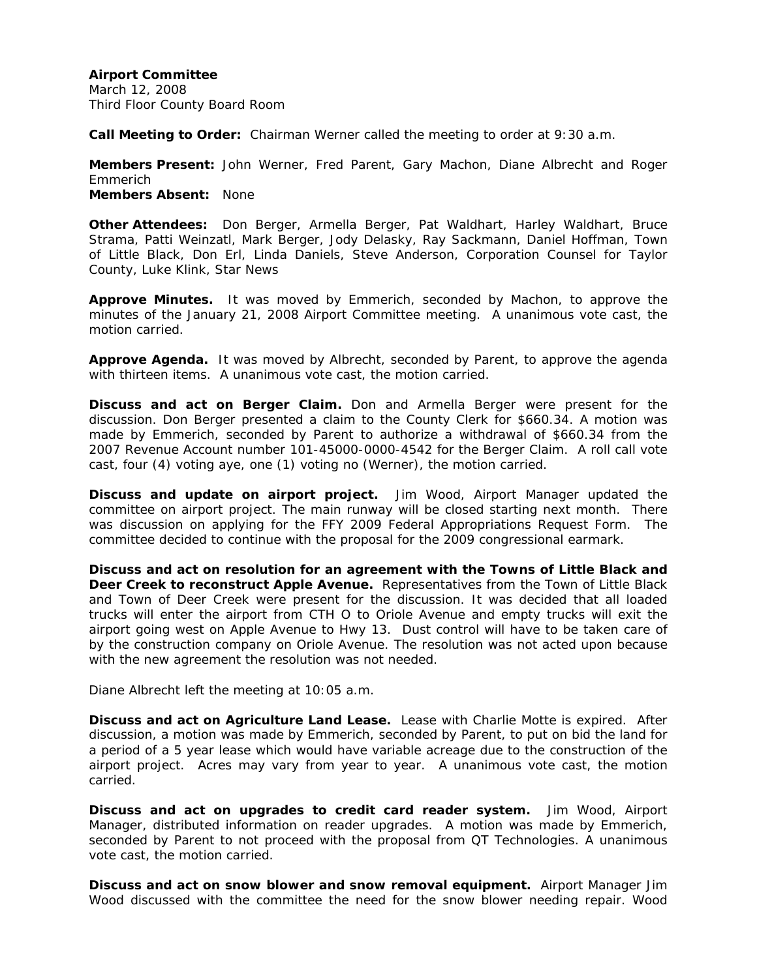March 12, 2008 Third Floor County Board Room

**Call Meeting to Order:** Chairman Werner called the meeting to order at 9:30 a.m.

**Members Present:** John Werner, Fred Parent, Gary Machon, Diane Albrecht and Roger Emmerich **Members Absent:** None

**Other Attendees:** Don Berger, Armella Berger, Pat Waldhart, Harley Waldhart, Bruce Strama, Patti Weinzatl, Mark Berger, Jody Delasky, Ray Sackmann, Daniel Hoffman, Town of Little Black, Don Erl, Linda Daniels, Steve Anderson, Corporation Counsel for Taylor County, Luke Klink, Star News

**Approve Minutes.** It was moved by Emmerich, seconded by Machon, to approve the minutes of the January 21, 2008 Airport Committee meeting. A unanimous vote cast, the motion carried.

**Approve Agenda.** It was moved by Albrecht, seconded by Parent, to approve the agenda with thirteen items. A unanimous vote cast, the motion carried.

**Discuss and act on Berger Claim.** Don and Armella Berger were present for the discussion. Don Berger presented a claim to the County Clerk for \$660.34. A motion was made by Emmerich, seconded by Parent to authorize a withdrawal of \$660.34 from the 2007 Revenue Account number 101-45000-0000-4542 for the Berger Claim. A roll call vote cast, four (4) voting aye, one (1) voting no (Werner), the motion carried.

**Discuss and update on airport project.** Jim Wood, Airport Manager updated the committee on airport project. The main runway will be closed starting next month. There was discussion on applying for the FFY 2009 Federal Appropriations Request Form. The committee decided to continue with the proposal for the 2009 congressional earmark.

**Discuss and act on resolution for an agreement with the Towns of Little Black and Deer Creek to reconstruct Apple Avenue.** Representatives from the Town of Little Black and Town of Deer Creek were present for the discussion. It was decided that all loaded trucks will enter the airport from CTH O to Oriole Avenue and empty trucks will exit the airport going west on Apple Avenue to Hwy 13. Dust control will have to be taken care of by the construction company on Oriole Avenue. The resolution was not acted upon because with the new agreement the resolution was not needed.

Diane Albrecht left the meeting at 10:05 a.m.

**Discuss and act on Agriculture Land Lease.** Lease with Charlie Motte is expired. After discussion, a motion was made by Emmerich, seconded by Parent, to put on bid the land for a period of a 5 year lease which would have variable acreage due to the construction of the airport project. Acres may vary from year to year. A unanimous vote cast, the motion carried.

**Discuss and act on upgrades to credit card reader system.** Jim Wood, Airport Manager, distributed information on reader upgrades. A motion was made by Emmerich, seconded by Parent to not proceed with the proposal from QT Technologies. A unanimous vote cast, the motion carried.

**Discuss and act on snow blower and snow removal equipment.** Airport Manager Jim Wood discussed with the committee the need for the snow blower needing repair. Wood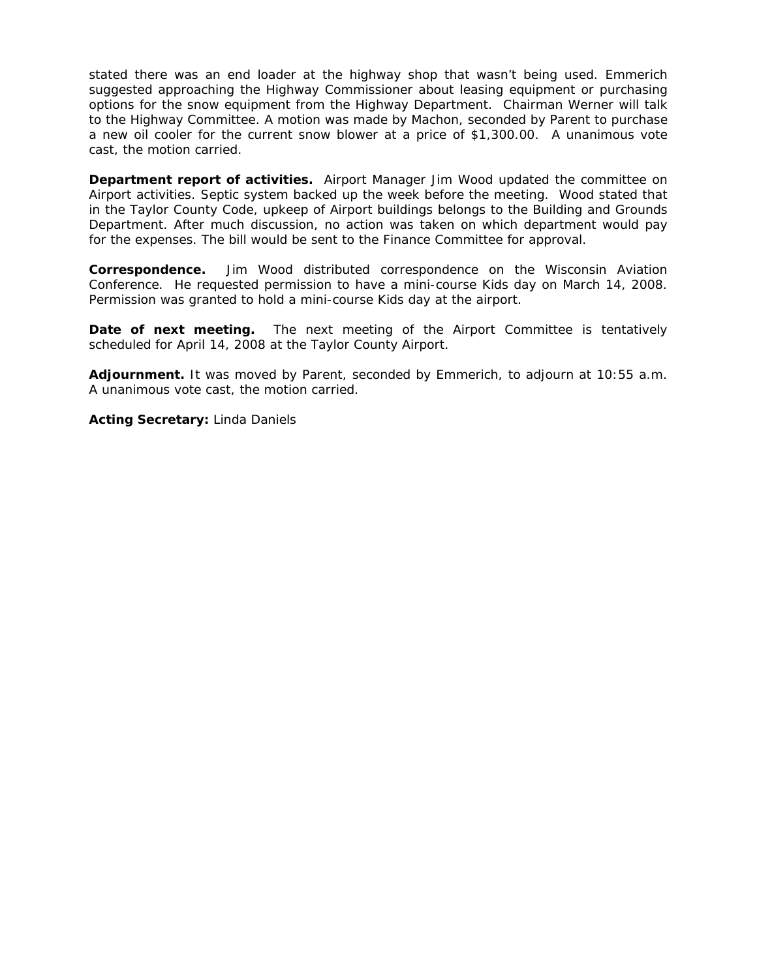stated there was an end loader at the highway shop that wasn't being used. Emmerich suggested approaching the Highway Commissioner about leasing equipment or purchasing options for the snow equipment from the Highway Department. Chairman Werner will talk to the Highway Committee. A motion was made by Machon, seconded by Parent to purchase a new oil cooler for the current snow blower at a price of \$1,300.00. A unanimous vote cast, the motion carried.

**Department report of activities.** Airport Manager Jim Wood updated the committee on Airport activities. Septic system backed up the week before the meeting. Wood stated that in the Taylor County Code, upkeep of Airport buildings belongs to the Building and Grounds Department. After much discussion, no action was taken on which department would pay for the expenses. The bill would be sent to the Finance Committee for approval.

**Correspondence.** Jim Wood distributed correspondence on the Wisconsin Aviation Conference. He requested permission to have a mini-course Kids day on March 14, 2008. Permission was granted to hold a mini-course Kids day at the airport.

**Date of next meeting.** The next meeting of the Airport Committee is tentatively scheduled for April 14, 2008 at the Taylor County Airport.

**Adjournment.** It was moved by Parent, seconded by Emmerich, to adjourn at 10:55 a.m. A unanimous vote cast, the motion carried.

**Acting Secretary:** Linda Daniels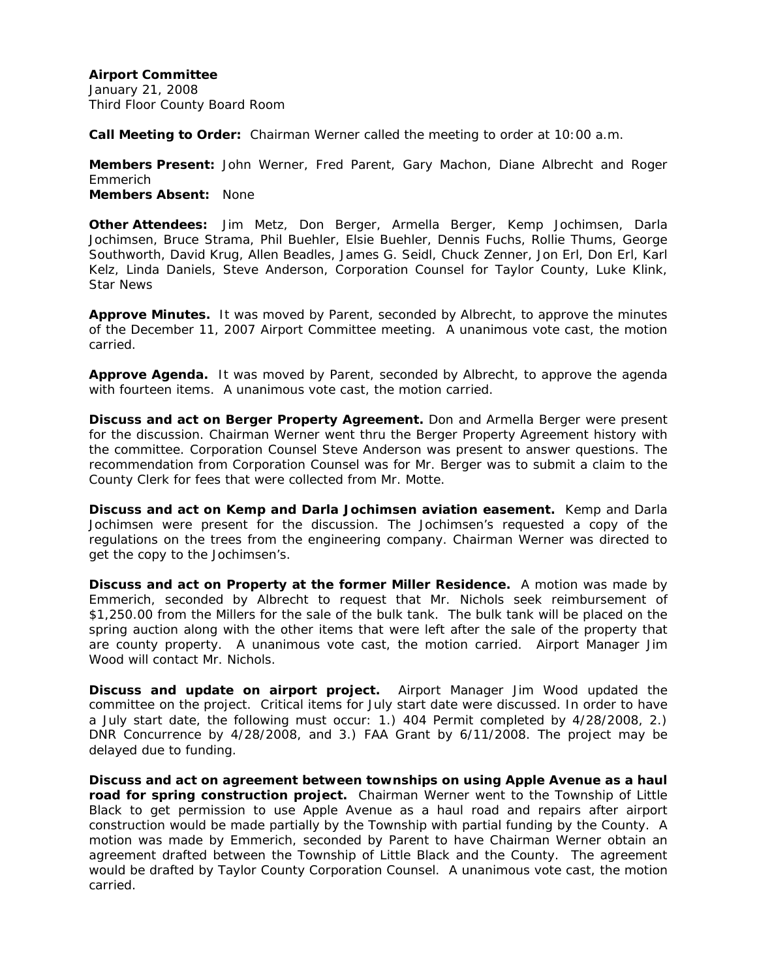January 21, 2008 Third Floor County Board Room

**Call Meeting to Order:** Chairman Werner called the meeting to order at 10:00 a.m.

**Members Present:** John Werner, Fred Parent, Gary Machon, Diane Albrecht and Roger Emmerich **Members Absent:** None

**Other Attendees:** Jim Metz, Don Berger, Armella Berger, Kemp Jochimsen, Darla Jochimsen, Bruce Strama, Phil Buehler, Elsie Buehler, Dennis Fuchs, Rollie Thums, George Southworth, David Krug, Allen Beadles, James G. Seidl, Chuck Zenner, Jon Erl, Don Erl, Karl Kelz, Linda Daniels, Steve Anderson, Corporation Counsel for Taylor County, Luke Klink, Star News

**Approve Minutes.** It was moved by Parent, seconded by Albrecht, to approve the minutes of the December 11, 2007 Airport Committee meeting. A unanimous vote cast, the motion carried.

**Approve Agenda.** It was moved by Parent, seconded by Albrecht, to approve the agenda with fourteen items. A unanimous vote cast, the motion carried.

**Discuss and act on Berger Property Agreement.** Don and Armella Berger were present for the discussion. Chairman Werner went thru the Berger Property Agreement history with the committee. Corporation Counsel Steve Anderson was present to answer questions. The recommendation from Corporation Counsel was for Mr. Berger was to submit a claim to the County Clerk for fees that were collected from Mr. Motte.

**Discuss and act on Kemp and Darla Jochimsen aviation easement.** Kemp and Darla Jochimsen were present for the discussion. The Jochimsen's requested a copy of the regulations on the trees from the engineering company. Chairman Werner was directed to get the copy to the Jochimsen's.

**Discuss and act on Property at the former Miller Residence.** A motion was made by Emmerich, seconded by Albrecht to request that Mr. Nichols seek reimbursement of \$1,250.00 from the Millers for the sale of the bulk tank. The bulk tank will be placed on the spring auction along with the other items that were left after the sale of the property that are county property. A unanimous vote cast, the motion carried. Airport Manager Jim Wood will contact Mr. Nichols.

**Discuss and update on airport project.** Airport Manager Jim Wood updated the committee on the project. Critical items for July start date were discussed. In order to have a July start date, the following must occur: 1.) 404 Permit completed by 4/28/2008, 2.) DNR Concurrence by 4/28/2008, and 3.) FAA Grant by 6/11/2008. The project may be delayed due to funding.

**Discuss and act on agreement between townships on using Apple Avenue as a haul road for spring construction project.** Chairman Werner went to the Township of Little Black to get permission to use Apple Avenue as a haul road and repairs after airport construction would be made partially by the Township with partial funding by the County. A motion was made by Emmerich, seconded by Parent to have Chairman Werner obtain an agreement drafted between the Township of Little Black and the County. The agreement would be drafted by Taylor County Corporation Counsel. A unanimous vote cast, the motion carried.